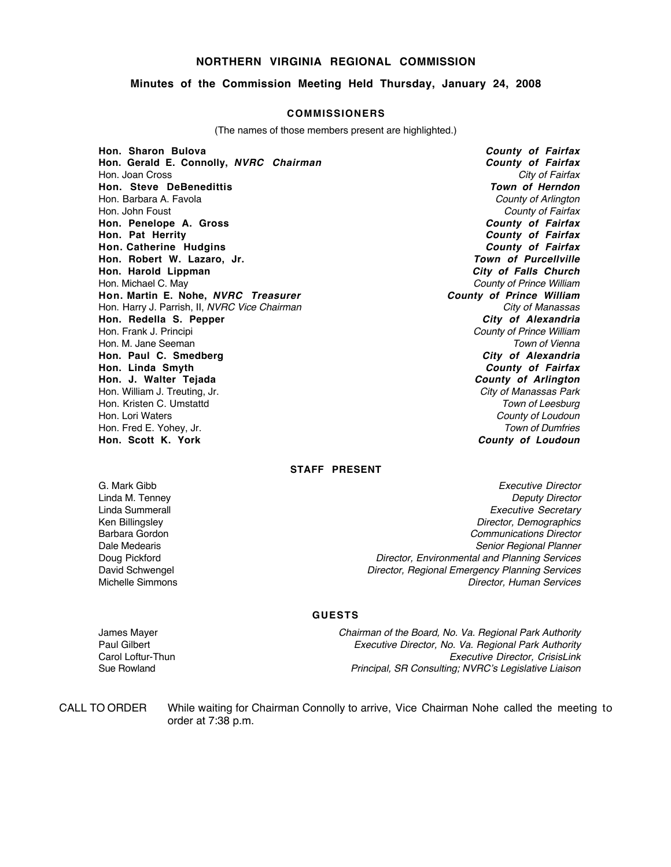### **NORTHERN VIRGINIA REGIONAL COMMISSION**

#### **Minutes of the Commission Meeting Held Thursday, January 24, 2008**

#### **COMMISSIONERS**

(The names of those members present are highlighted.)

**Hon. Sharon Bulova County of Fairfax Hon. Gerald E. Connolly, NVRC Chairman County of Fairfax County of Fairfax**<br>Hon. Joan Cross **City of Fairfax** Hon. Joan Cross City of Fairfax (1999)<br>
Hon. Steve DeBenedittis (1999) and the control of the control of the control of the control of the control of<br>
Hon. Steve DeBenedittis (1999) and the control of the control of the co **Hon. Steve DeBenedittis** Hon. Barbara A. Favola County of Arlington County of Arlington Hon. John Foust County of Fairfax<br> **Hon. Penelope A. Gross** County of Fairfax **Hon. Penelope A. Gross Hon. Pat Herrity County of Fairfax Hon. Catherine Hudgins County of Fairfax** Hon. Robert W. Lazaro, Jr. **Hon. Harold Lippman City of Falls Church** Hon. Michael C. May<br> **Hon. Martin E. Nohe, NVRC Treasurer Hon. Martin E. Nohe, NVRC Treasurer Hon. Martin E. Nohe, NVRC Treasurer Hon. Martin E. Nohe, NVRC Treasurer** Hon. Harry J. Parrish, II, NVRC Vice Chairman City of Manassas City of Manassas<br> **Hon. Redella S. Pepper** City of Alexandria **Hon. Redella S. Pepper**<br>Hon. Frank J. Principi Hon. M. Jane Seeman Town of Vienna Town of Vienna Town of Vienna Town of Vienna Town of Vienna Town of Vienna **Hon. Paul C. Smedberg City of Alexandria Hon. J. Walter Tejada County of Arlington**<br>
Hon. William J. Treuting, Jr. County of Arlington **City of Manassas Park** Hon. William J. Treuting, Jr. Hon. Kristen C. Umstattd Town of Leesburg Town of Leesburg Hon. Lori Waters County of Loudoun Hon. Fred E. Yohey, Jr. North Christian Communication of Dumfries and Town of Dumfries and Town of Dumfries and Town of Dumfries and Town of Dumfries and Town of Dumfries and Town of Loudoun

County of Prince William **County of Fairfax County of Loudoun** 

#### **STAFF PRESENT**

G. Mark Gibb **Executive Director** Control of the Security of the Executive Director Linda M. Tenney **Deputy Director** Communication Communication Communication Communication Communication Communication Communication Communication Communication Communication Communication Communication Communication Commun Linda Summerall **Executive Secretary Executive Secretary** Ken Billingsley **Director, Demographics** Contains a structure of the Director, Demographics Contains a structure of the Director, Demographics **Director**, Demographics **Contains a structure of the Director**, Demographics Barbara Gordon **Communications** Director Dale Medearis **Senior Regional Planner** Senior Regional Planner Doug Pickford **Director, Environmental and Planning Services Director**, Environmental and Planning Services David Schwengel **Director, Regional Emergency Planning Services** Director, Regional Emergency Planning Services Michelle Simmons **Director, Human Services Director**, Human Services

#### **GUESTS**

James Mayer Chairman of the Board, No. Va. Regional Park Authority Paul Gilbert **Paul Gilbert** Executive Director, No. Va. Regional Park Authority<br>Executive Director, CrisisLink **Executive Director** Executive Director, CrisisLink Sue Rowland Principal, SR Consulting; NVRC's Legislative Liaison

CALL TO ORDER While waiting for Chairman Connolly to arrive, Vice Chairman Nohe called the meeting to order at 7:38 p.m.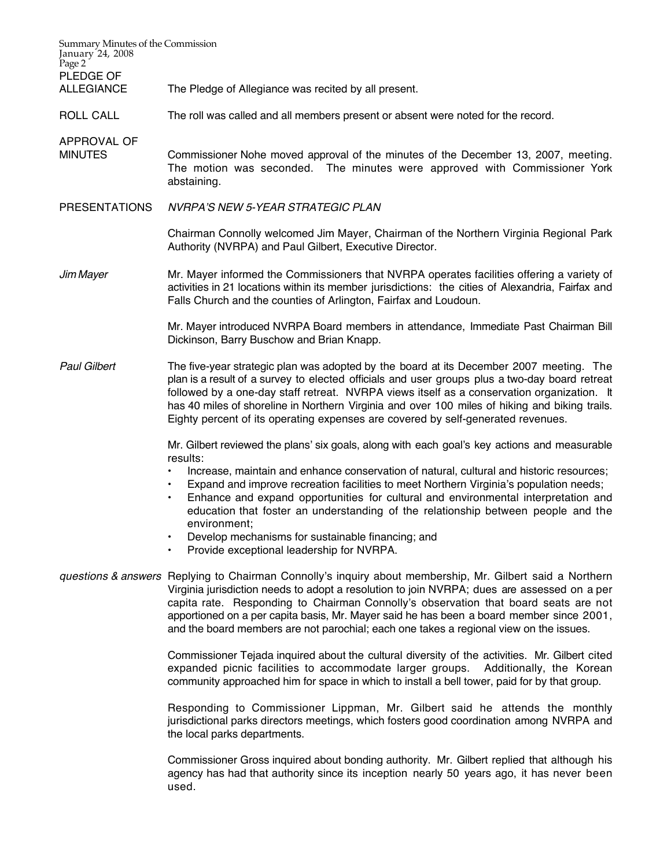| Summary Minutes of the Commission<br>January 24, 2008<br>Page 2 |                                                                                                                                                                                                                                                                                                                                                                                                                                                                                       |  |
|-----------------------------------------------------------------|---------------------------------------------------------------------------------------------------------------------------------------------------------------------------------------------------------------------------------------------------------------------------------------------------------------------------------------------------------------------------------------------------------------------------------------------------------------------------------------|--|
| PLEDGE OF<br><b>ALLEGIANCE</b>                                  | The Pledge of Allegiance was recited by all present.                                                                                                                                                                                                                                                                                                                                                                                                                                  |  |
| ROLL CALL                                                       | The roll was called and all members present or absent were noted for the record.                                                                                                                                                                                                                                                                                                                                                                                                      |  |
| APPROVAL OF<br><b>MINUTES</b>                                   | Commissioner Nohe moved approval of the minutes of the December 13, 2007, meeting.<br>The motion was seconded. The minutes were approved with Commissioner York<br>abstaining.                                                                                                                                                                                                                                                                                                        |  |
| <b>PRESENTATIONS</b>                                            | NVRPA'S NEW 5-YEAR STRATEGIC PLAN                                                                                                                                                                                                                                                                                                                                                                                                                                                     |  |
|                                                                 | Chairman Connolly welcomed Jim Mayer, Chairman of the Northern Virginia Regional Park<br>Authority (NVRPA) and Paul Gilbert, Executive Director.                                                                                                                                                                                                                                                                                                                                      |  |
| Jim Mayer                                                       | Mr. Mayer informed the Commissioners that NVRPA operates facilities offering a variety of<br>activities in 21 locations within its member jurisdictions: the cities of Alexandria, Fairfax and<br>Falls Church and the counties of Arlington, Fairfax and Loudoun.                                                                                                                                                                                                                    |  |
|                                                                 | Mr. Mayer introduced NVRPA Board members in attendance, Immediate Past Chairman Bill<br>Dickinson, Barry Buschow and Brian Knapp.                                                                                                                                                                                                                                                                                                                                                     |  |
| <b>Paul Gilbert</b>                                             | The five-year strategic plan was adopted by the board at its December 2007 meeting. The<br>plan is a result of a survey to elected officials and user groups plus a two-day board retreat<br>followed by a one-day staff retreat. NVRPA views itself as a conservation organization. It<br>has 40 miles of shoreline in Northern Virginia and over 100 miles of hiking and biking trails.<br>Eighty percent of its operating expenses are covered by self-generated revenues.         |  |
|                                                                 | Mr. Gilbert reviewed the plans' six goals, along with each goal's key actions and measurable<br>results:                                                                                                                                                                                                                                                                                                                                                                              |  |
|                                                                 | Increase, maintain and enhance conservation of natural, cultural and historic resources;<br>$\bullet$<br>Expand and improve recreation facilities to meet Northern Virginia's population needs;<br>$\bullet$<br>Enhance and expand opportunities for cultural and environmental interpretation and<br>$\bullet$<br>education that foster an understanding of the relationship between people and the<br>environment:                                                                  |  |
|                                                                 | Develop mechanisms for sustainable financing; and<br>Provide exceptional leadership for NVRPA.                                                                                                                                                                                                                                                                                                                                                                                        |  |
|                                                                 | questions & answers Replying to Chairman Connolly's inquiry about membership, Mr. Gilbert said a Northern<br>Virginia jurisdiction needs to adopt a resolution to join NVRPA; dues are assessed on a per<br>capita rate. Responding to Chairman Connolly's observation that board seats are not<br>apportioned on a per capita basis, Mr. Mayer said he has been a board member since 2001,<br>and the board members are not parochial; each one takes a regional view on the issues. |  |
|                                                                 | Commissioner Tejada inquired about the cultural diversity of the activities. Mr. Gilbert cited<br>expanded picnic facilities to accommodate larger groups.<br>Additionally, the Korean<br>community approached him for space in which to install a bell tower, paid for by that group.                                                                                                                                                                                                |  |
|                                                                 | Responding to Commissioner Lippman, Mr. Gilbert said he attends the monthly<br>jurisdictional parks directors meetings, which fosters good coordination among NVRPA and<br>the local parks departments.                                                                                                                                                                                                                                                                               |  |
|                                                                 | Commissioner Gross inquired about bonding authority. Mr. Gilbert replied that although his<br>agency has had that authority since its inception nearly 50 years ago, it has never been<br>used.                                                                                                                                                                                                                                                                                       |  |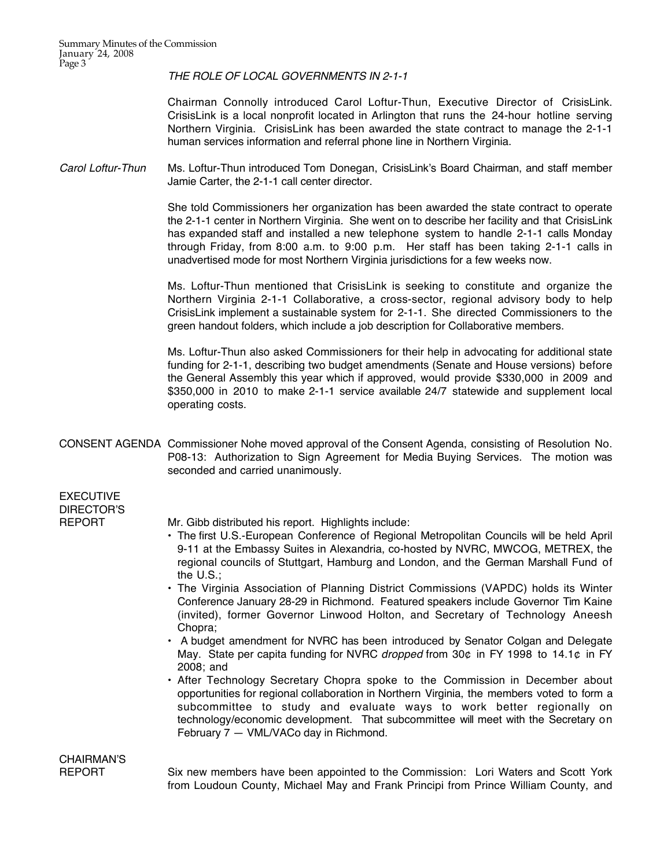THE ROLE OF LOCAL GOVERNMENTS IN 2-1-1

Chairman Connolly introduced Carol Loftur-Thun, Executive Director of CrisisLink. CrisisLink is a local nonprofit located in Arlington that runs the 24-hour hotline serving Northern Virginia. CrisisLink has been awarded the state contract to manage the 2-1-1 human services information and referral phone line in Northern Virginia.

Carol Loftur-Thun Ms. Loftur-Thun introduced Tom Donegan, CrisisLink's Board Chairman, and staff member Jamie Carter, the 2-1-1 call center director.

> She told Commissioners her organization has been awarded the state contract to operate the 2-1-1 center in Northern Virginia. She went on to describe her facility and that CrisisLink has expanded staff and installed a new telephone system to handle 2-1-1 calls Monday through Friday, from 8:00 a.m. to 9:00 p.m. Her staff has been taking 2-1-1 calls in unadvertised mode for most Northern Virginia jurisdictions for a few weeks now.

> Ms. Loftur-Thun mentioned that CrisisLink is seeking to constitute and organize the Northern Virginia 2-1-1 Collaborative, a cross-sector, regional advisory body to help CrisisLink implement a sustainable system for 2-1-1. She directed Commissioners to the green handout folders, which include a job description for Collaborative members.

> Ms. Loftur-Thun also asked Commissioners for their help in advocating for additional state funding for 2-1-1, describing two budget amendments (Senate and House versions) before the General Assembly this year which if approved, would provide \$330,000 in 2009 and \$350,000 in 2010 to make 2-1-1 service available 24/7 statewide and supplement local operating costs.

CONSENT AGENDA Commissioner Nohe moved approval of the Consent Agenda, consisting of Resolution No. P08-13: Authorization to Sign Agreement for Media Buying Services. The motion was seconded and carried unanimously.

EXECUTIVE DIRECTOR'S

REPORT Mr. Gibb distributed his report. Highlights include:

- The first U.S.-European Conference of Regional Metropolitan Councils will be held April 9-11 at the Embassy Suites in Alexandria, co-hosted by NVRC, MWCOG, METREX, the regional councils of Stuttgart, Hamburg and London, and the German Marshall Fund of the U.S.;
- The Virginia Association of Planning District Commissions (VAPDC) holds its Winter Conference January 28-29 in Richmond. Featured speakers include Governor Tim Kaine (invited), former Governor Linwood Holton, and Secretary of Technology Aneesh Chopra;
- A budget amendment for NVRC has been introduced by Senator Colgan and Delegate May. State per capita funding for NVRC *dropped* from 30¢ in FY 1998 to 14.1¢ in FY 2008; and
- After Technology Secretary Chopra spoke to the Commission in December about opportunities for regional collaboration in Northern Virginia, the members voted to form a subcommittee to study and evaluate ways to work better regionally on technology/economic development. That subcommittee will meet with the Secretary on February 7 — VML/VACo day in Richmond.

## CHAIRMAN'S

REPORT Six new members have been appointed to the Commission: Lori Waters and Scott York from Loudoun County, Michael May and Frank Principi from Prince William County, and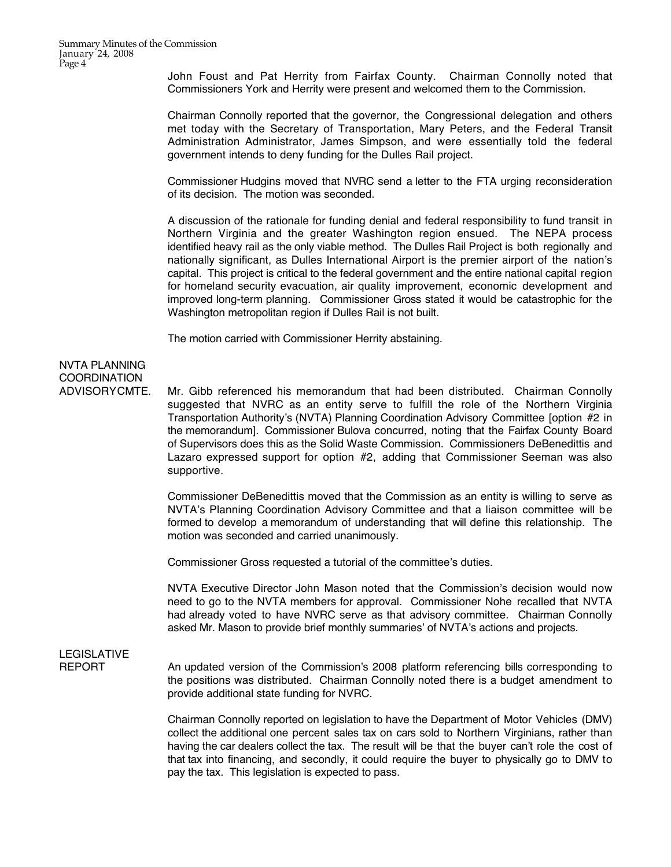John Foust and Pat Herrity from Fairfax County. Chairman Connolly noted that Commissioners York and Herrity were present and welcomed them to the Commission.

Chairman Connolly reported that the governor, the Congressional delegation and others met today with the Secretary of Transportation, Mary Peters, and the Federal Transit Administration Administrator, James Simpson, and were essentially told the federal government intends to deny funding for the Dulles Rail project.

Commissioner Hudgins moved that NVRC send a letter to the FTA urging reconsideration of its decision. The motion was seconded.

A discussion of the rationale for funding denial and federal responsibility to fund transit in Northern Virginia and the greater Washington region ensued. The NEPA process identified heavy rail as the only viable method. The Dulles Rail Project is both regionally and nationally significant, as Dulles International Airport is the premier airport of the nation's capital. This project is critical to the federal government and the entire national capital region for homeland security evacuation, air quality improvement, economic development and improved long-term planning. Commissioner Gross stated it would be catastrophic for the Washington metropolitan region if Dulles Rail is not built.

The motion carried with Commissioner Herrity abstaining.

## NVTA PLANNING **COORDINATION**

ADVISORY CMTE. Mr. Gibb referenced his memorandum that had been distributed. Chairman Connolly suggested that NVRC as an entity serve to fulfill the role of the Northern Virginia Transportation Authority's (NVTA) Planning Coordination Advisory Committee [option #2 in the memorandum]. Commissioner Bulova concurred, noting that the Fairfax County Board of Supervisors does this as the Solid Waste Commission. Commissioners DeBenedittis and Lazaro expressed support for option #2, adding that Commissioner Seeman was also supportive.

> Commissioner DeBenedittis moved that the Commission as an entity is willing to serve as NVTA's Planning Coordination Advisory Committee and that a liaison committee will be formed to develop a memorandum of understanding that will define this relationship. The motion was seconded and carried unanimously.

Commissioner Gross requested a tutorial of the committee's duties.

NVTA Executive Director John Mason noted that the Commission's decision would now need to go to the NVTA members for approval. Commissioner Nohe recalled that NVTA had already voted to have NVRC serve as that advisory committee. Chairman Connolly asked Mr. Mason to provide brief monthly summaries' of NVTA's actions and projects.

# LEGISLATIVE

REPORT An updated version of the Commission's 2008 platform referencing bills corresponding to the positions was distributed. Chairman Connolly noted there is a budget amendment to provide additional state funding for NVRC.

> Chairman Connolly reported on legislation to have the Department of Motor Vehicles (DMV) collect the additional one percent sales tax on cars sold to Northern Virginians, rather than having the car dealers collect the tax. The result will be that the buyer can't role the cost of that tax into financing, and secondly, it could require the buyer to physically go to DMV to pay the tax. This legislation is expected to pass.